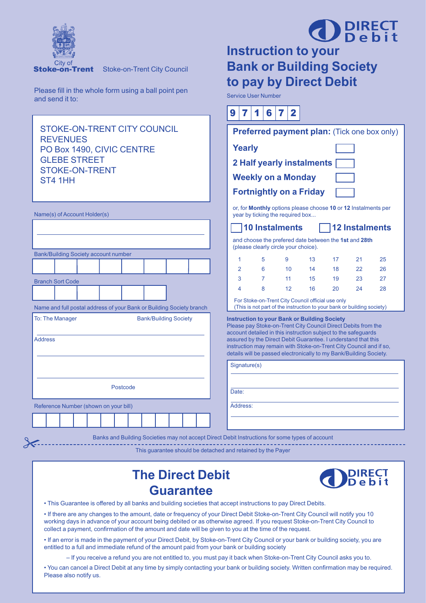

 $\lambda$ 

Stoke-on-Trent City Council

Please fill in the whole form using a ball point pen and send it to:

## **OD** DIRECT **Instruction to your Bank or Building Society**

**to pay by Direct Debit** Service User Number

 $|q|7|4|$   $|q|7|9|$ 

| <b>STOKE-ON-TRENT CITY COUNCIL</b><br><b>REVENUES</b>                                           | <b>Preferred payment plan:</b> (Tick one box only)     |                |   |                                                     |    |                                                                                                                                     |                       |    |
|-------------------------------------------------------------------------------------------------|--------------------------------------------------------|----------------|---|-----------------------------------------------------|----|-------------------------------------------------------------------------------------------------------------------------------------|-----------------------|----|
| PO Box 1490, CIVIC CENTRE                                                                       |                                                        | <b>Yearly</b>  |   |                                                     |    |                                                                                                                                     |                       |    |
| <b>GLEBE STREET</b>                                                                             | 2 Half yearly instalments<br><b>Weekly on a Monday</b> |                |   |                                                     |    |                                                                                                                                     |                       |    |
| <b>STOKE-ON-TRENT</b><br>ST4 1HH                                                                |                                                        |                |   |                                                     |    |                                                                                                                                     |                       |    |
|                                                                                                 |                                                        |                |   | <b>Fortnightly on a Friday</b>                      |    |                                                                                                                                     |                       |    |
| Name(s) of Account Holder(s)                                                                    |                                                        |                |   | year by ticking the required box                    |    | or, for Monthly options please choose 10 or 12 Instalments per                                                                      |                       |    |
|                                                                                                 |                                                        |                |   | <b>10 Instalments</b>                               |    |                                                                                                                                     | <b>12 Instalments</b> |    |
|                                                                                                 |                                                        |                |   | (please clearly circle your choice).                |    | and choose the prefered date between the 1st and 28th                                                                               |                       |    |
| <b>Bank/Building Society account number</b>                                                     |                                                        | 1              | 5 | 9                                                   | 13 | 17                                                                                                                                  | 21                    | 25 |
|                                                                                                 |                                                        | $\overline{2}$ | 6 | 10 <sup>1</sup>                                     | 14 | 18                                                                                                                                  | 22                    | 26 |
| <b>Branch Sort Code</b>                                                                         |                                                        | 3              | 7 | 11                                                  | 15 | 19                                                                                                                                  | 23                    | 27 |
|                                                                                                 |                                                        | 4              | 8 | 12                                                  | 16 | 20                                                                                                                                  | 24                    | 28 |
| Name and full postal address of your Bank or Building Society branch                            |                                                        |                |   | For Stoke-on-Trent City Council official use only   |    | (This is not part of the instruction to your bank or building society)                                                              |                       |    |
| To: The Manager<br><b>Bank/Building Society</b>                                                 |                                                        |                |   | <b>Instruction to your Bank or Building Society</b> |    |                                                                                                                                     |                       |    |
|                                                                                                 |                                                        |                |   |                                                     |    | Please pay Stoke-on-Trent City Council Direct Debits from the<br>account detailed in this instruction subject to the safeguards     |                       |    |
| <b>Address</b>                                                                                  |                                                        |                |   |                                                     |    | assured by the Direct Debit Guarantee. I understand that this<br>instruction may remain with Stoke-on-Trent City Council and if so, |                       |    |
|                                                                                                 |                                                        |                |   |                                                     |    | details will be passed electronically to my Bank/Building Society.                                                                  |                       |    |
|                                                                                                 |                                                        | Signature(s)   |   |                                                     |    |                                                                                                                                     |                       |    |
|                                                                                                 |                                                        |                |   |                                                     |    |                                                                                                                                     |                       |    |
| Postcode                                                                                        |                                                        | Date:          |   |                                                     |    |                                                                                                                                     |                       |    |
|                                                                                                 |                                                        |                |   |                                                     |    |                                                                                                                                     |                       |    |
| Reference Number (shown on your bill)                                                           |                                                        | Address:       |   |                                                     |    |                                                                                                                                     |                       |    |
|                                                                                                 |                                                        |                |   |                                                     |    |                                                                                                                                     |                       |    |
| Banks and Building Societies may not accept Direct Debit Instructions for some types of account |                                                        |                |   |                                                     |    |                                                                                                                                     |                       |    |
|                                                                                                 |                                                        |                |   |                                                     |    |                                                                                                                                     |                       |    |

This guarantee should be detached and retained by the Payer

## **The Direct Debit Guarantee**



• This Guarantee is offered by all banks and building societies that accept instructions to pay Direct Debits.

• If there are any changes to the amount, date or frequency of your Direct Debit Stoke-on-Trent City Council will notify you 10 working days in advance of your account being debited or as otherwise agreed. If you request Stoke-on-Trent City Council to collect a payment, confirmation of the amount and date will be given to you at the time of the request.

• If an error is made in the payment of your Direct Debit, by Stoke-on-Trent City Council or your bank or building society, you are entitled to a full and immediate refund of the amount paid from your bank or building society

– If you receive a refund you are not entitled to, you must pay it back when Stoke-on-Trent City Council asks you to.

• You can cancel a Direct Debit at any time by simply contacting your bank or building society. Written confirmation may be required. Please also notify us.